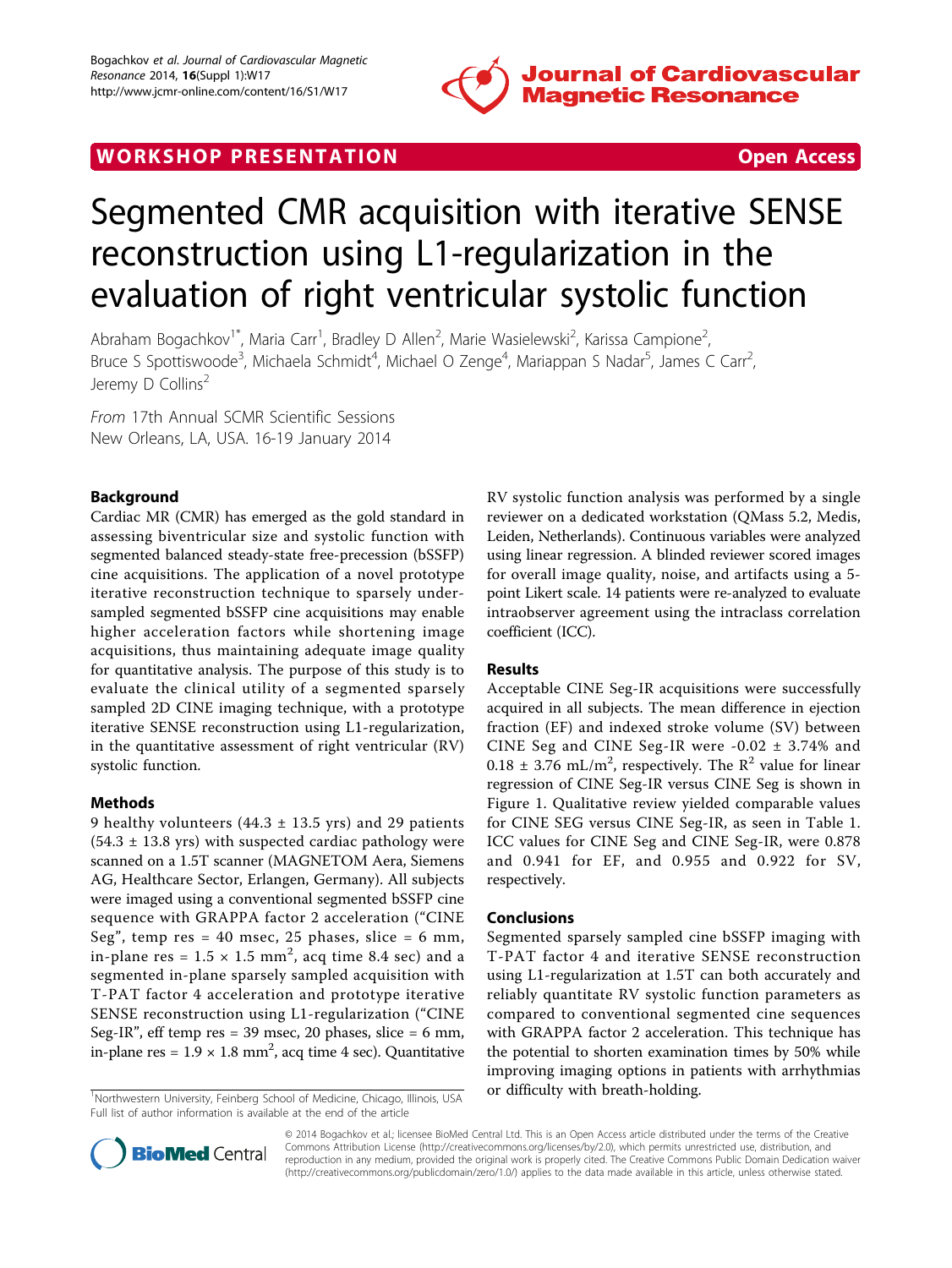

# WORK SHOP PRESENTATION **WORK SHOP PRESENTATION**

# Segmented CMR acquisition with iterative SENSE reconstruction using L1-regularization in the evaluation of right ventricular systolic function

Abraham Bogachkov<sup>1\*</sup>, Maria Carr<sup>1</sup>, Bradley D Allen<sup>2</sup>, Marie Wasielewski<sup>2</sup>, Karissa Campione<sup>2</sup> , Bruce S Spottiswoode<sup>3</sup>, Michaela Schmidt<sup>4</sup>, Michael O Zenge<sup>4</sup>, Mariappan S Nadar<sup>5</sup>, James C Carr<sup>2</sup> , Jeremy D Collins<sup>2</sup>

From 17th Annual SCMR Scientific Sessions New Orleans, LA, USA. 16-19 January 2014

# Background

Cardiac MR (CMR) has emerged as the gold standard in assessing biventricular size and systolic function with segmented balanced steady-state free-precession (bSSFP) cine acquisitions. The application of a novel prototype iterative reconstruction technique to sparsely undersampled segmented bSSFP cine acquisitions may enable higher acceleration factors while shortening image acquisitions, thus maintaining adequate image quality for quantitative analysis. The purpose of this study is to evaluate the clinical utility of a segmented sparsely sampled 2D CINE imaging technique, with a prototype iterative SENSE reconstruction using L1-regularization, in the quantitative assessment of right ventricular (RV) systolic function.

# Methods

9 healthy volunteers  $(44.3 \pm 13.5 \text{ yrs})$  and 29 patients  $(54.3 \pm 13.8 \text{ yrs})$  with suspected cardiac pathology were scanned on a 1.5T scanner (MAGNETOM Aera, Siemens AG, Healthcare Sector, Erlangen, Germany). All subjects were imaged using a conventional segmented bSSFP cine sequence with GRAPPA factor 2 acceleration ("CINE Seg", temp res = 40 msec, 25 phases, slice = 6 mm, in-plane res =  $1.5 \times 1.5$  mm<sup>2</sup>, acq time 8.4 sec) and a segmented in-plane sparsely sampled acquisition with T-PAT factor 4 acceleration and prototype iterative SENSE reconstruction using L1-regularization ("CINE Seg-IR", eff temp res = 39 msec, 20 phases, slice = 6 mm, in-plane res =  $1.9 \times 1.8$  mm<sup>2</sup>, acq time 4 sec). Quantitative

<sup>1</sup>Northwestern University, Feinberg School of Medicine, Chicago, Illinois, USA **or difficulty with breath-holding.** Full list of author information is available at the end of the article

RV systolic function analysis was performed by a single reviewer on a dedicated workstation (QMass 5.2, Medis, Leiden, Netherlands). Continuous variables were analyzed using linear regression. A blinded reviewer scored images for overall image quality, noise, and artifacts using a 5 point Likert scale. 14 patients were re-analyzed to evaluate intraobserver agreement using the intraclass correlation coefficient (ICC).

# Results

Acceptable CINE Seg-IR acquisitions were successfully acquired in all subjects. The mean difference in ejection fraction (EF) and indexed stroke volume (SV) between CINE Seg and CINE Seg-IR were -0.02 ± 3.74% and  $0.18 \pm 3.76 \text{ mL/m}^2$ , respectively. The R<sup>2</sup> value for linear regression of CINE Seg-IR versus CINE Seg is shown in Figure [1](#page-1-0). Qualitative review yielded comparable values for CINE SEG versus CINE Seg-IR, as seen in Table [1](#page-1-0). ICC values for CINE Seg and CINE Seg-IR, were 0.878 and 0.941 for EF, and 0.955 and 0.922 for SV, respectively.

#### Conclusions

Segmented sparsely sampled cine bSSFP imaging with T-PAT factor 4 and iterative SENSE reconstruction using L1-regularization at 1.5T can both accurately and reliably quantitate RV systolic function parameters as compared to conventional segmented cine sequences with GRAPPA factor 2 acceleration. This technique has the potential to shorten examination times by 50% while improving imaging options in patients with arrhythmias



© 2014 Bogachkov et al.; licensee BioMed Central Ltd. This is an Open Access article distributed under the terms of the Creative Commons Attribution License [\(http://creativecommons.org/licenses/by/2.0](http://creativecommons.org/licenses/by/2.0)), which permits unrestricted use, distribution, and reproduction in any medium, provided the original work is properly cited. The Creative Commons Public Domain Dedication waiver [\(http://creativecommons.org/publicdomain/zero/1.0/](http://creativecommons.org/publicdomain/zero/1.0/)) applies to the data made available in this article, unless otherwise stated.